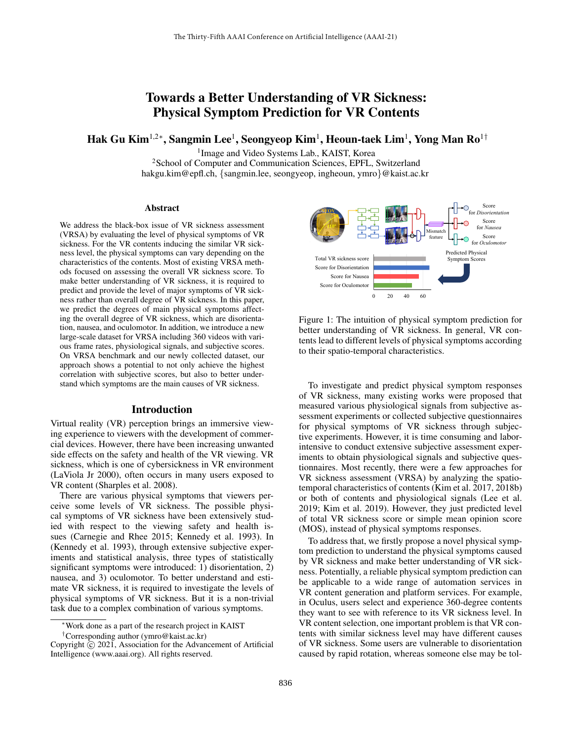# Towards a Better Understanding of VR Sickness: Physical Symptom Prediction for VR Contents

Hak Gu Kim $^{1,2\ast},$  Sangmin Lee $^1,$  Seongyeop Kim $^1,$  Heoun-taek Lim $^1,$  Yong Man Ro $^{1\dagger}$ 

1 Image and Video Systems Lab., KAIST, Korea <sup>2</sup>School of Computer and Communication Sciences, EPFL, Switzerland hakgu.kim@epfl.ch, {sangmin.lee, seongyeop, ingheoun, ymro}@kaist.ac.kr

#### Abstract

We address the black-box issue of VR sickness assessment (VRSA) by evaluating the level of physical symptoms of VR sickness. For the VR contents inducing the similar VR sickness level, the physical symptoms can vary depending on the characteristics of the contents. Most of existing VRSA methods focused on assessing the overall VR sickness score. To make better understanding of VR sickness, it is required to predict and provide the level of major symptoms of VR sickness rather than overall degree of VR sickness. In this paper, we predict the degrees of main physical symptoms affecting the overall degree of VR sickness, which are disorientation, nausea, and oculomotor. In addition, we introduce a new large-scale dataset for VRSA including 360 videos with various frame rates, physiological signals, and subjective scores. On VRSA benchmark and our newly collected dataset, our approach shows a potential to not only achieve the highest correlation with subjective scores, but also to better understand which symptoms are the main causes of VR sickness.

#### Introduction

Virtual reality (VR) perception brings an immersive viewing experience to viewers with the development of commercial devices. However, there have been increasing unwanted side effects on the safety and health of the VR viewing. VR sickness, which is one of cybersickness in VR environment (LaViola Jr 2000), often occurs in many users exposed to VR content (Sharples et al. 2008).

There are various physical symptoms that viewers perceive some levels of VR sickness. The possible physical symptoms of VR sickness have been extensively studied with respect to the viewing safety and health issues (Carnegie and Rhee 2015; Kennedy et al. 1993). In (Kennedy et al. 1993), through extensive subjective experiments and statistical analysis, three types of statistically significant symptoms were introduced: 1) disorientation, 2) nausea, and 3) oculomotor. To better understand and estimate VR sickness, it is required to investigate the levels of physical symptoms of VR sickness. But it is a non-trivial task due to a complex combination of various symptoms.



Figure 1: The intuition of physical symptom prediction for better understanding of VR sickness. In general, VR contents lead to different levels of physical symptoms according to their spatio-temporal characteristics.

To investigate and predict physical symptom responses of VR sickness, many existing works were proposed that measured various physiological signals from subjective assessment experiments or collected subjective questionnaires for physical symptoms of VR sickness through subjective experiments. However, it is time consuming and laborintensive to conduct extensive subjective assessment experiments to obtain physiological signals and subjective questionnaires. Most recently, there were a few approaches for VR sickness assessment (VRSA) by analyzing the spatiotemporal characteristics of contents (Kim et al. 2017, 2018b) or both of contents and physiological signals (Lee et al. 2019; Kim et al. 2019). However, they just predicted level of total VR sickness score or simple mean opinion score (MOS), instead of physical symptoms responses.

To address that, we firstly propose a novel physical symptom prediction to understand the physical symptoms caused by VR sickness and make better understanding of VR sickness. Potentially, a reliable physical symptom prediction can be applicable to a wide range of automation services in VR content generation and platform services. For example, in Oculus, users select and experience 360-degree contents they want to see with reference to its VR sickness level. In VR content selection, one important problem is that VR contents with similar sickness level may have different causes of VR sickness. Some users are vulnerable to disorientation caused by rapid rotation, whereas someone else may be tol-

<sup>∗</sup>Work done as a part of the research project in KAIST †Corresponding author (ymro@kaist.ac.kr)

Copyright © 2021, Association for the Advancement of Artificial Intelligence (www.aaai.org). All rights reserved.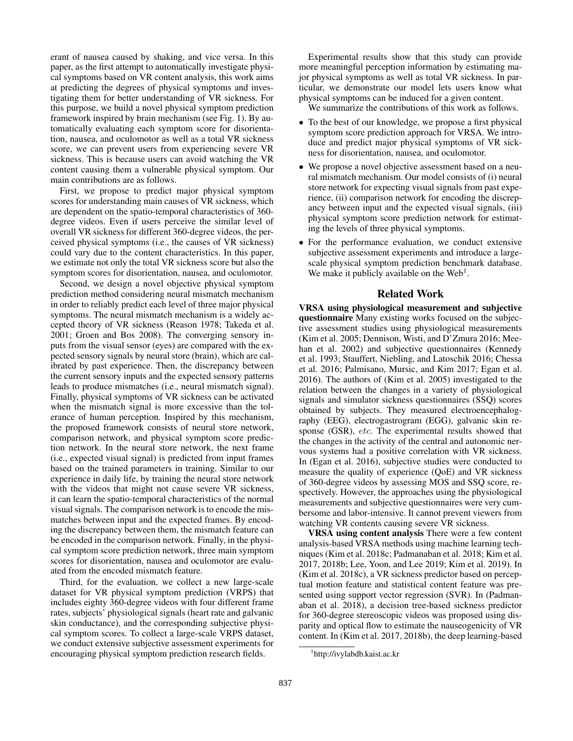erant of nausea caused by shaking, and vice versa. In this paper, as the first attempt to automatically investigate physical symptoms based on VR content analysis, this work aims at predicting the degrees of physical symptoms and investigating them for better understanding of VR sickness. For this purpose, we build a novel physical symptom prediction framework inspired by brain mechanism (see Fig. 1). By automatically evaluating each symptom score for disorientation, nausea, and oculomotor as well as a total VR sickness score, we can prevent users from experiencing severe VR sickness. This is because users can avoid watching the VR content causing them a vulnerable physical symptom. Our main contributions are as follows.

First, we propose to predict major physical symptom scores for understanding main causes of VR sickness, which are dependent on the spatio-temporal characteristics of 360 degree videos. Even if users perceive the similar level of overall VR sickness for different 360-degree videos, the perceived physical symptoms (i.e., the causes of VR sickness) could vary due to the content characteristics. In this paper, we estimate not only the total VR sickness score but also the symptom scores for disorientation, nausea, and oculomotor.

Second, we design a novel objective physical symptom prediction method considering neural mismatch mechanism in order to reliably predict each level of three major physical symptoms. The neural mismatch mechanism is a widely accepted theory of VR sickness (Reason 1978; Takeda et al. 2001; Groen and Bos 2008). The converging sensory inputs from the visual sensor (eyes) are compared with the expected sensory signals by neural store (brain), which are calibrated by past experience. Then, the discrepancy between the current sensory inputs and the expected sensory patterns leads to produce mismatches (i.e., neural mismatch signal). Finally, physical symptoms of VR sickness can be activated when the mismatch signal is more excessive than the tolerance of human perception. Inspired by this mechanism, the proposed framework consists of neural store network, comparison network, and physical symptom score prediction network. In the neural store network, the next frame (i.e., expected visual signal) is predicted from input frames based on the trained parameters in training. Similar to our experience in daily life, by training the neural store network with the videos that might not cause severe VR sickness, it can learn the spatio-temporal characteristics of the normal visual signals. The comparison network is to encode the mismatches between input and the expected frames. By encoding the discrepancy between them, the mismatch feature can be encoded in the comparison network. Finally, in the physical symptom score prediction network, three main symptom scores for disorientation, nausea and oculomotor are evaluated from the encoded mismatch feature.

Third, for the evaluation, we collect a new large-scale dataset for VR physical symptom prediction (VRPS) that includes eighty 360-degree videos with four different frame rates, subjects' physiological signals (heart rate and galvanic skin conductance), and the corresponding subjective physical symptom scores. To collect a large-scale VRPS dataset, we conduct extensive subjective assessment experiments for encouraging physical symptom prediction research fields.

Experimental results show that this study can provide more meaningful perception information by estimating major physical symptoms as well as total VR sickness. In particular, we demonstrate our model lets users know what physical symptoms can be induced for a given content.

We summarize the contributions of this work as follows.

- To the best of our knowledge, we propose a first physical symptom score prediction approach for VRSA. We introduce and predict major physical symptoms of VR sickness for disorientation, nausea, and oculomotor.
- We propose a novel objective assessment based on a neural mismatch mechanism. Our model consists of (i) neural store network for expecting visual signals from past experience, (ii) comparison network for encoding the discrepancy between input and the expected visual signals, (iii) physical symptom score prediction network for estimating the levels of three physical symptoms.
- For the performance evaluation, we conduct extensive subjective assessment experiments and introduce a largescale physical symptom prediction benchmark database. We make it publicly available on the Web<sup>1</sup>.

## Related Work

VRSA using physiological measurement and subjective questionnaire Many existing works focused on the subjective assessment studies using physiological measurements (Kim et al. 2005; Dennison, Wisti, and D'Zmura 2016; Meehan et al. 2002) and subjective questionnaires (Kennedy et al. 1993; Stauffert, Niebling, and Latoschik 2016; Chessa et al. 2016; Palmisano, Mursic, and Kim 2017; Egan et al. 2016). The authors of (Kim et al. 2005) investigated to the relation between the changes in a variety of physiological signals and simulator sickness questionnaires (SSQ) scores obtained by subjects. They measured electroencephalography (EEG), electrogastrogram (EGG), galvanic skin response (GSR), etc. The experimental results showed that the changes in the activity of the central and autonomic nervous systems had a positive correlation with VR sickness. In (Egan et al. 2016), subjective studies were conducted to measure the quality of experience (QoE) and VR sickness of 360-degree videos by assessing MOS and SSQ score, respectively. However, the approaches using the physiological measurements and subjective questionnaires were very cumbersome and labor-intensive. It cannot prevent viewers from watching VR contents causing severe VR sickness.

VRSA using content analysis There were a few content analysis-based VRSA methods using machine learning techniques (Kim et al. 2018c; Padmanaban et al. 2018; Kim et al. 2017, 2018b; Lee, Yoon, and Lee 2019; Kim et al. 2019). In (Kim et al. 2018c), a VR sickness predictor based on perceptual motion feature and statistical content feature was presented using support vector regression (SVR). In (Padmanaban et al. 2018), a decision tree-based sickness predictor for 360-degree stereoscopic videos was proposed using disparity and optical flow to estimate the nauseogenicity of VR content. In (Kim et al. 2017, 2018b), the deep learning-based

<sup>1</sup> http://ivylabdb.kaist.ac.kr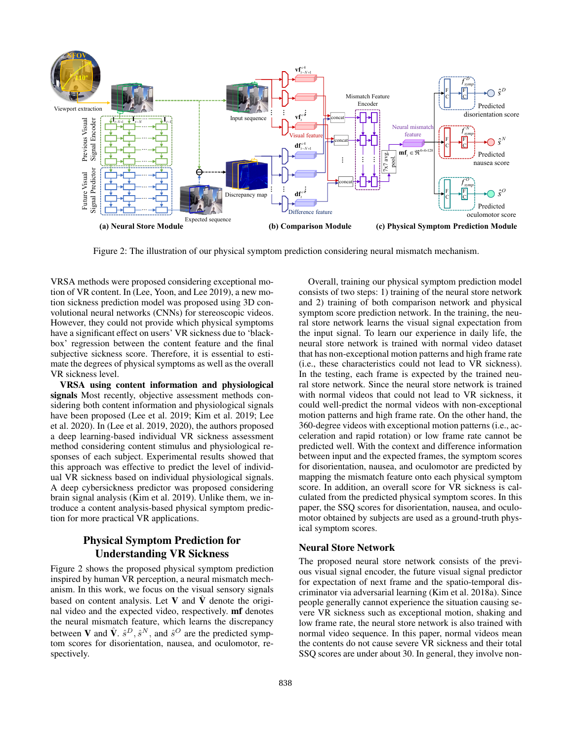

Figure 2: The illustration of our physical symptom prediction considering neural mismatch mechanism.

VRSA methods were proposed considering exceptional motion of VR content. In (Lee, Yoon, and Lee 2019), a new motion sickness prediction model was proposed using 3D convolutional neural networks (CNNs) for stereoscopic videos. However, they could not provide which physical symptoms have a significant effect on users' VR sickness due to 'blackbox' regression between the content feature and the final subjective sickness score. Therefore, it is essential to estimate the degrees of physical symptoms as well as the overall VR sickness level.

VRSA using content information and physiological signals Most recently, objective assessment methods considering both content information and physiological signals have been proposed (Lee et al. 2019; Kim et al. 2019; Lee et al. 2020). In (Lee et al. 2019, 2020), the authors proposed a deep learning-based individual VR sickness assessment method considering content stimulus and physiological responses of each subject. Experimental results showed that this approach was effective to predict the level of individual VR sickness based on individual physiological signals. A deep cybersickness predictor was proposed considering brain signal analysis (Kim et al. 2019). Unlike them, we introduce a content analysis-based physical symptom prediction for more practical VR applications.

## Physical Symptom Prediction for Understanding VR Sickness

Figure 2 shows the proposed physical symptom prediction inspired by human VR perception, a neural mismatch mechanism. In this work, we focus on the visual sensory signals based on content analysis. Let V and  $\hat{V}$  denote the original video and the expected video, respectively. mf denotes the neural mismatch feature, which learns the discrepancy between **V** and  $\hat{\mathbf{V}}$ .  $\hat{s}^D$ ,  $\hat{s}^N$ , and  $\hat{s}^O$  are the predicted symptom scores for disorientation, nausea, and oculomotor, respectively.

Overall, training our physical symptom prediction model consists of two steps: 1) training of the neural store network and 2) training of both comparison network and physical symptom score prediction network. In the training, the neural store network learns the visual signal expectation from the input signal. To learn our experience in daily life, the neural store network is trained with normal video dataset that has non-exceptional motion patterns and high frame rate (i.e., these characteristics could not lead to VR sickness). In the testing, each frame is expected by the trained neural store network. Since the neural store network is trained with normal videos that could not lead to VR sickness, it could well-predict the normal videos with non-exceptional motion patterns and high frame rate. On the other hand, the 360-degree videos with exceptional motion patterns (i.e., acceleration and rapid rotation) or low frame rate cannot be predicted well. With the context and difference information between input and the expected frames, the symptom scores for disorientation, nausea, and oculomotor are predicted by mapping the mismatch feature onto each physical symptom score. In addition, an overall score for VR sickness is calculated from the predicted physical symptom scores. In this paper, the SSQ scores for disorientation, nausea, and oculomotor obtained by subjects are used as a ground-truth physical symptom scores.

## Neural Store Network

The proposed neural store network consists of the previous visual signal encoder, the future visual signal predictor for expectation of next frame and the spatio-temporal discriminator via adversarial learning (Kim et al. 2018a). Since people generally cannot experience the situation causing severe VR sickness such as exceptional motion, shaking and low frame rate, the neural store network is also trained with normal video sequence. In this paper, normal videos mean the contents do not cause severe VR sickness and their total SSQ scores are under about 30. In general, they involve non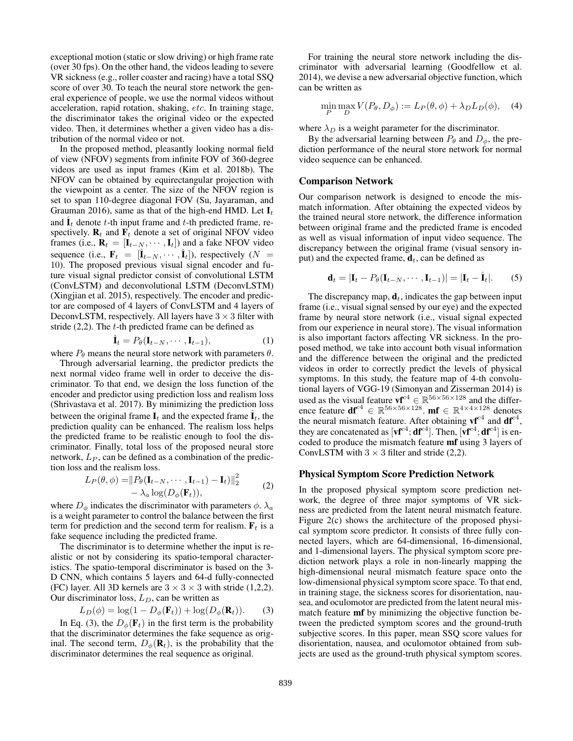exceptional motion (static or slow driving) or high frame rate (over 30 fps). On the other hand, the videos leading to severe VR sickness (e.g., roller coaster and racing) have a total SSQ score of over 30. To teach the neural store network the general experience of people, we use the normal videos without acceleration, rapid rotation, shaking, etc. In training stage, the discriminator takes the original video or the expected video. Then, it determines whether a given video has a distribution of the normal video or not.

In the proposed method, pleasantly looking normal field of view (NFOV) segments from infinite FOV of 360-degree videos are used as input frames (Kim et al. 2018b). The NFOV can be obtained by equirectangular projection with the viewpoint as a center. The size of the NFOV region is set to span 110-degree diagonal FOV (Su, Jayaraman, and Grauman 2016), same as that of the high-end HMD. Let  $I_t$ and  $\hat{\mathbf{I}}_t$  denote t-th input frame and t-th predicted frame, respectively.  $\mathbf{R}_t$  and  $\mathbf{F}_t$  denote a set of original NFOV video frames (i.e.,  $\mathbf{R}_t = [\mathbf{I}_{t-N}, \cdots, \mathbf{I}_t]$ ) and a fake NFOV video sequence (i.e.,  $\mathbf{F}_t = [\hat{\mathbf{I}}_{t-N}, \cdots, \hat{\mathbf{I}}_t]$ ), respectively ( $N =$ 10). The proposed previous visual signal encoder and future visual signal predictor consist of convolutional LSTM (ConvLSTM) and deconvolutional LSTM (DeconvLSTM) (Xingjian et al. 2015), respectively. The encoder and predictor are composed of 4 layers of ConvLSTM and 4 layers of DeconvLSTM, respectively. All layers have  $3 \times 3$  filter with stride  $(2,2)$ . The t-th predicted frame can be defined as

$$
\hat{\mathbf{I}}_t = P_{\theta}(\mathbf{I}_{t-N}, \cdots, \mathbf{I}_{t-1}), \tag{1}
$$

where  $P_{\theta}$  means the neural store network with parameters  $\theta$ .

Through adversarial learning, the predictor predicts the next normal video frame well in order to deceive the discriminator. To that end, we design the loss function of the encoder and predictor using prediction loss and realism loss (Shrivastava et al. 2017). By minimizing the prediction loss between the original frame  $\mathbf{I}_t$  and the expected frame  $\hat{\mathbf{I}}_t$ , the prediction quality can be enhanced. The realism loss helps the predicted frame to be realistic enough to fool the discriminator. Finally, total loss of the proposed neural store network,  $L_P$ , can be defined as a combination of the prediction loss and the realism loss.

$$
L_P(\theta, \phi) = ||P_{\theta}(\mathbf{I}_{t-N}, \cdots, \mathbf{I}_{t-1}) - \mathbf{I}_t)||_2^2
$$
  
-  $\lambda_a \log(D_{\phi}(\mathbf{F}_t)),$  (2)

where  $D_{\phi}$  indicates the discriminator with parameters  $\phi$ .  $\lambda_a$ is a weight parameter to control the balance between the first term for prediction and the second term for realism.  $F_t$  is a fake sequence including the predicted frame.

The discriminator is to determine whether the input is realistic or not by considering its spatio-temporal characteristics. The spatio-temporal discriminator is based on the 3- D CNN, which contains 5 layers and 64-d fully-connected (FC) layer. All 3D kernels are  $3 \times 3 \times 3$  with stride (1,2,2). Our discriminator loss,  $L_D$ , can be written as

$$
L_D(\phi) = \log(1 - D_{\phi}(\mathbf{F}_t)) + \log(D_{\phi}(\mathbf{R}_t)).
$$
 (3)

In Eq. (3), the  $D_{\phi}(\mathbf{F}_t)$  in the first term is the probability that the discriminator determines the fake sequence as original. The second term,  $D_{\phi}(\mathbf{R}_t)$ , is the probability that the discriminator determines the real sequence as original.

For training the neural store network including the discriminator with adversarial learning (Goodfellow et al. 2014), we devise a new adversarial objective function, which can be written as

$$
\min_{P} \max_{D} V(P_{\theta}, D_{\phi}) := L_P(\theta, \phi) + \lambda_D L_D(\phi), \quad (4)
$$

where  $\lambda_D$  is a weight parameter for the discriminator.

By the adversarial learning between  $P_{\theta}$  and  $D_{\phi}$ , the prediction performance of the neural store network for normal video sequence can be enhanced.

#### Comparison Network

Our comparison network is designed to encode the mismatch information. After obtaining the expected videos by the trained neural store network, the difference information between original frame and the predicted frame is encoded as well as visual information of input video sequence. The discrepancy between the original frame (visual sensory input) and the expected frame,  $\mathbf{d}_t$ , can be defined as

$$
\mathbf{d}_t = |\mathbf{I}_t - P_{\theta}(\mathbf{I}_{t-N}, \cdots, \mathbf{I}_{t-1})| = |\mathbf{I}_t - \hat{\mathbf{I}}_t|. \tag{5}
$$

The discrepancy map,  $\mathbf{d}_t$ , indicates the gap between input frame (i.e., visual signal sensed by our eye) and the expected frame by neural store network (i.e., visual signal expected from our experience in neural store). The visual information is also important factors affecting VR sickness. In the proposed method, we take into account both visual information and the difference between the original and the predicted videos in order to correctly predict the levels of physical symptoms. In this study, the feature map of 4-th convolutional layers of VGG-19 (Simonyan and Zisserman 2014) is used as the visual feature  $\mathbf{v}^{\mathbf{c}^4} \in \mathbb{R}^{56 \times 56 \times 128}$  and the difference feature  $df^{c4} \in \mathbb{R}^{56 \times 56 \times 128}$ . mf  $\in \mathbb{R}^{4 \times 4 \times 128}$  denotes the neural mismatch feature. After obtaining  $\mathbf{v} \mathbf{f}^{\text{c}4}$  and  $\mathbf{d} \mathbf{f}^{\text{c}4}$ , they are concatenated as  $[\mathbf{v} \mathbf{f}^{c4}; \mathbf{d} \mathbf{f}^{c4}]$ . Then,  $[\mathbf{v} \mathbf{f}^{c4}; \mathbf{d} \mathbf{f}^{c4}]$  is encoded to produce the mismatch feature mf using 3 layers of ConvLSTM with  $3 \times 3$  filter and stride (2,2).

#### Physical Symptom Score Prediction Network

In the proposed physical symptom score prediction network, the degree of three major symptoms of VR sickness are predicted from the latent neural mismatch feature. Figure 2(c) shows the architecture of the proposed physical symptom score predictor. It consists of three fully connected layers, which are 64-dimensional, 16-dimensional, and 1-dimensional layers. The physical symptom score prediction network plays a role in non-linearly mapping the high-dimensional neural mismatch feature space onto the low-dimensional physical symptom score space. To that end, in training stage, the sickness scores for disorientation, nausea, and oculomotor are predicted from the latent neural mismatch feature **mf** by minimizing the objective function between the predicted symptom scores and the ground-truth subjective scores. In this paper, mean SSQ score values for disorientation, nausea, and oculomotor obtained from subjects are used as the ground-truth physical symptom scores.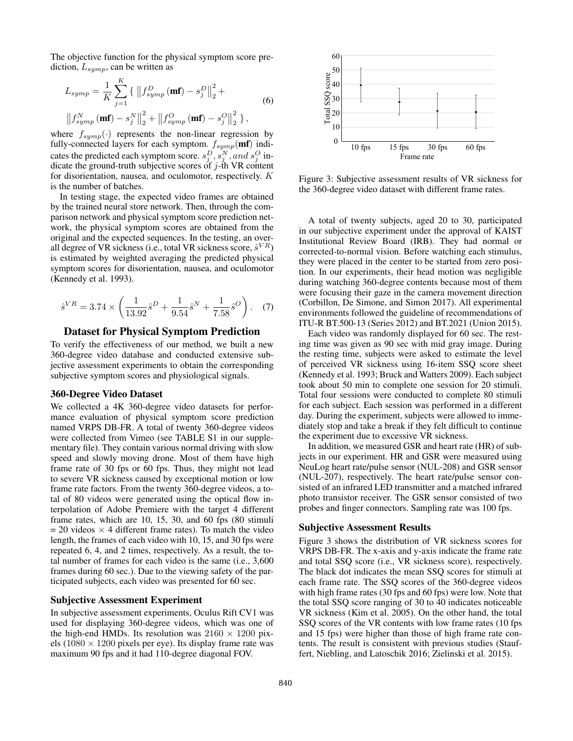The objective function for the physical symptom score prediction,  $L_{symp}$ , can be written as

$$
L_{symp} = \frac{1}{K} \sum_{j=1}^{K} \left\{ \left\| f_{symp}^{D} (\mathbf{m} \mathbf{f}) - s_j^{D} \right\|_{2}^{2} + \right\}
$$
  

$$
\left\| f_{symp}^{N} (\mathbf{m} \mathbf{f}) - s_j^{N} \right\|_{2}^{2} + \left\| f_{symp}^{O} (\mathbf{m} \mathbf{f}) - s_j^{O} \right\|_{2}^{2} \right\},
$$
  
(6)

where  $f_{symp}(\cdot)$  represents the non-linear regression by fully-connected layers for each symptom.  $f_{symp}$ (mf) indicates the predicted each symptom score.  $s_j^D$ ,  $s_j^N$ , and  $s_j^O$  indicate the ground-truth subjective scores of  $j$ -th VR content for disorientation, nausea, and oculomotor, respectively. K is the number of batches.

In testing stage, the expected video frames are obtained by the trained neural store network. Then, through the comparison network and physical symptom score prediction network, the physical symptom scores are obtained from the original and the expected sequences. In the testing, an overall degree of VR sickness (i.e., total VR sickness score,  $\hat{s}^{VR}$ ) is estimated by weighted averaging the predicted physical symptom scores for disorientation, nausea, and oculomotor (Kennedy et al. 1993).

$$
\hat{s}^{VR} = 3.74 \times \left( \frac{1}{13.92} \hat{s}^D + \frac{1}{9.54} \hat{s}^N + \frac{1}{7.58} \hat{s}^O \right). \tag{7}
$$

## Dataset for Physical Symptom Prediction

To verify the effectiveness of our method, we built a new 360-degree video database and conducted extensive subjective assessment experiments to obtain the corresponding subjective symptom scores and physiological signals.

#### 360-Degree Video Dataset

We collected a 4K 360-degree video datasets for performance evaluation of physical symptom score prediction named VRPS DB-FR. A total of twenty 360-degree videos were collected from Vimeo (see TABLE S1 in our supplementary file). They contain various normal driving with slow speed and slowly moving drone. Most of them have high frame rate of 30 fps or 60 fps. Thus, they might not lead to severe VR sickness caused by exceptional motion or low frame rate factors. From the twenty 360-degree videos, a total of 80 videos were generated using the optical flow interpolation of Adobe Premiere with the target 4 different frame rates, which are 10, 15, 30, and 60 fps (80 stimuli  $= 20$  videos  $\times$  4 different frame rates). To match the video length, the frames of each video with 10, 15, and 30 fps were repeated 6, 4, and 2 times, respectively. As a result, the total number of frames for each video is the same (i.e., 3,600 frames during 60 sec.). Due to the viewing safety of the participated subjects, each video was presented for 60 sec.

#### Subjective Assessment Experiment

In subjective assessment experiments, Oculus Rift CV1 was used for displaying 360-degree videos, which was one of the high-end HMDs. Its resolution was  $2160 \times 1200$  pixels (1080  $\times$  1200 pixels per eye). Its display frame rate was maximum 90 fps and it had 110-degree diagonal FOV.



Figure 3: Subjective assessment results of VR sickness for the 360-degree video dataset with different frame rates.

A total of twenty subjects, aged 20 to 30, participated in our subjective experiment under the approval of KAIST Institutional Review Board (IRB). They had normal or corrected-to-normal vision. Before watching each stimulus, they were placed in the center to be started from zero position. In our experiments, their head motion was negligible during watching 360-degree contents because most of them were focusing their gaze in the camera movement direction (Corbillon, De Simone, and Simon 2017). All experimental environments followed the guideline of recommendations of ITU-R BT.500-13 (Series 2012) and BT.2021 (Union 2015).

Each video was randomly displayed for 60 sec. The resting time was given as 90 sec with mid gray image. During the resting time, subjects were asked to estimate the level of perceived VR sickness using 16-item SSQ score sheet (Kennedy et al. 1993; Bruck and Watters 2009). Each subject took about 50 min to complete one session for 20 stimuli. Total four sessions were conducted to complete 80 stimuli for each subject. Each session was performed in a different day. During the experiment, subjects were allowed to immediately stop and take a break if they felt difficult to continue the experiment due to excessive VR sickness.

In addition, we measured GSR and heart rate (HR) of subjects in our experiment. HR and GSR were measured using NeuLog heart rate/pulse sensor (NUL-208) and GSR sensor (NUL-207), respectively. The heart rate/pulse sensor consisted of an infrared LED transmitter and a matched infrared photo transistor receiver. The GSR sensor consisted of two probes and finger connectors. Sampling rate was 100 fps.

## Subjective Assessment Results

Figure 3 shows the distribution of VR sickness scores for VRPS DB-FR. The x-axis and y-axis indicate the frame rate and total SSQ score (i.e., VR sickness score), respectively. The black dot indicates the mean SSQ scores for stimuli at each frame rate. The SSQ scores of the 360-degree videos with high frame rates (30 fps and 60 fps) were low. Note that the total SSQ score ranging of 30 to 40 indicates noticeable VR sickness (Kim et al. 2005). On the other hand, the total SSQ scores of the VR contents with low frame rates (10 fps and 15 fps) were higher than those of high frame rate contents. The result is consistent with previous studies (Stauffert, Niebling, and Latoschik 2016; Zielinski et al. 2015).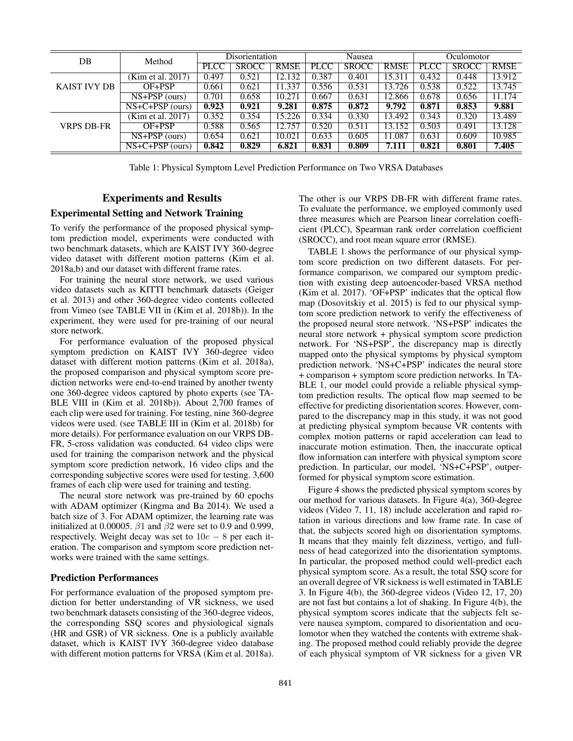| DB           | Method                            | Disorientation |              | Nausea      |             |              | Oculomotor  |             |              |             |
|--------------|-----------------------------------|----------------|--------------|-------------|-------------|--------------|-------------|-------------|--------------|-------------|
|              |                                   | <b>PLCC</b>    | <b>SROCC</b> | <b>RMSE</b> | <b>PLCC</b> | <b>SROCC</b> | <b>RMSE</b> | <b>PLCC</b> | <b>SROCC</b> | <b>RMSE</b> |
| KAIST IVY DB | (Kim et al. 2017)                 | 0.497          | 0.521        | 12.132      | 0.387       | 0.401        | 15.311      | 0.432       | 0.448        | 13.912      |
|              | OF+PSP                            | 0.661          | 0.621        | 11.337      | 0.556       | 0.531        | 13.726      | 0.538       | 0.522        | 13.745      |
|              | $NS+PSP$ (ours)                   | 0.701          | 0.658        | 10.271      | 0.667       | 0.631        | 12.866      | 0.678       | 0.656        | 11.174      |
|              | $NS+C+PSP(ours)$                  | 0.923          | 0.921        | 9.281       | 0.875       | 0.872        | 9.792       | 0.871       | 0.853        | 9.881       |
| VRPS DB-FR   | (Kim et al. 2017)                 | 0.352          | 0.354        | 15.226      | 0.334       | 0.330        | 13.492      | 0.343       | 0.320        | 13.489      |
|              | OF+PSP                            | 0.588          | 0.565        | 12.757      | 0.520       | 0.511        | 13.152      | 0.503       | 0.491        | 13.128      |
|              | $\overline{\text{NS+PSP}}$ (ours) | 0.654          | 0.621        | 10.021      | 0.633       | 0.605        | 11.087      | 0.631       | 0.609        | 10.985      |
|              | $NS+C+PSP$ (ours)                 | 0.842          | 0.829        | 6.821       | 0.831       | 0.809        | 7.111       | 0.821       | 0.801        | 7.405       |

Table 1: Physical Symptom Level Prediction Performance on Two VRSA Databases

## Experiments and Results

## Experimental Setting and Network Training

To verify the performance of the proposed physical symptom prediction model, experiments were conducted with two benchmark datasets, which are KAIST IVY 360-degree video dataset with different motion patterns (Kim et al. 2018a,b) and our dataset with different frame rates.

For training the neural store network, we used various video datasets such as KITTI benchmark datasets (Geiger et al. 2013) and other 360-degree video contents collected from Vimeo (see TABLE VII in (Kim et al. 2018b)). In the experiment, they were used for pre-training of our neural store network.

For performance evaluation of the proposed physical symptom prediction on KAIST IVY 360-degree video dataset with different motion patterns (Kim et al. 2018a), the proposed comparison and physical symptom score prediction networks were end-to-end trained by another twenty one 360-degree videos captured by photo experts (see TA-BLE VIII in (Kim et al. 2018b)). About 2,700 frames of each clip were used for training. For testing, nine 360-degree videos were used. (see TABLE III in (Kim et al. 2018b) for more details). For performance evaluation on our VRPS DB-FR, 5-cross validation was conducted. 64 video clips were used for training the comparison network and the physical symptom score prediction network, 16 video clips and the corresponding subjective scores were used for testing. 3,600 frames of each clip were used for training and testing.

The neural store network was pre-trained by 60 epochs with ADAM optimizer (Kingma and Ba 2014). We used a batch size of 3. For ADAM optimizer, the learning rate was initialized at 0.00005.  $β1$  and  $β2$  were set to 0.9 and 0.999, respectively. Weight decay was set to  $10e - 8$  per each iteration. The comparison and symptom score prediction networks were trained with the same settings.

#### Prediction Performances

For performance evaluation of the proposed symptom prediction for better understanding of VR sickness, we used two benchmark datasets consisting of the 360-degree videos, the corresponding SSQ scores and physiological signals (HR and GSR) of VR sickness. One is a publicly available dataset, which is KAIST IVY 360-degree video database with different motion patterns for VRSA (Kim et al. 2018a).

The other is our VRPS DB-FR with different frame rates. To evaluate the performance, we employed commonly used three measures which are Pearson linear correlation coefficient (PLCC), Spearman rank order correlation coefficient (SROCC), and root mean square error (RMSE).

TABLE 1 shows the performance of our physical symptom score prediction on two different datasets. For performance comparison, we compared our symptom prediction with existing deep autoencoder-based VRSA method (Kim et al. 2017). 'OF+PSP' indicates that the optical flow map (Dosovitskiy et al. 2015) is fed to our physical symptom score prediction network to verify the effectiveness of the proposed neural store network. 'NS+PSP' indicates the neural store network + physical symptom score prediction network. For 'NS+PSP', the discrepancy map is directly mapped onto the physical symptoms by physical symptom prediction network. 'NS+C+PSP' indicates the neural store + comparison + symptom score prediction networks. In TA-BLE 1, our model could provide a reliable physical symptom prediction results. The optical flow map seemed to be effective for predicting disorientation scores. However, compared to the discrepancy map in this study, it was not good at predicting physical symptom because VR contents with complex motion patterns or rapid acceleration can lead to inaccurate motion estimation. Then, the inaccurate optical flow information can interfere with physical symptom score prediction. In particular, our model, 'NS+C+PSP', outperformed for physical symptom score estimation.

Figure 4 shows the predicted physical symptom scores by our method for various datasets. In Figure 4(a), 360-degree videos (Video 7, 11, 18) include acceleration and rapid rotation in various directions and low frame rate. In case of that, the subjects scored high on disorientation symptoms. It means that they mainly felt dizziness, vertigo, and fullness of head categorized into the disorientation symptoms. In particular, the proposed method could well-predict each physical symptom score. As a result, the total SSQ score for an overall degree of VR sickness is well estimated in TABLE 3. In Figure 4(b), the 360-degree videos (Video 12, 17, 20) are not fast but contains a lot of shaking. In Figure 4(b), the physical symptom scores indicate that the subjects felt severe nausea symptom, compared to disorientation and oculomotor when they watched the contents with extreme shaking. The proposed method could reliably provide the degree of each physical symptom of VR sickness for a given VR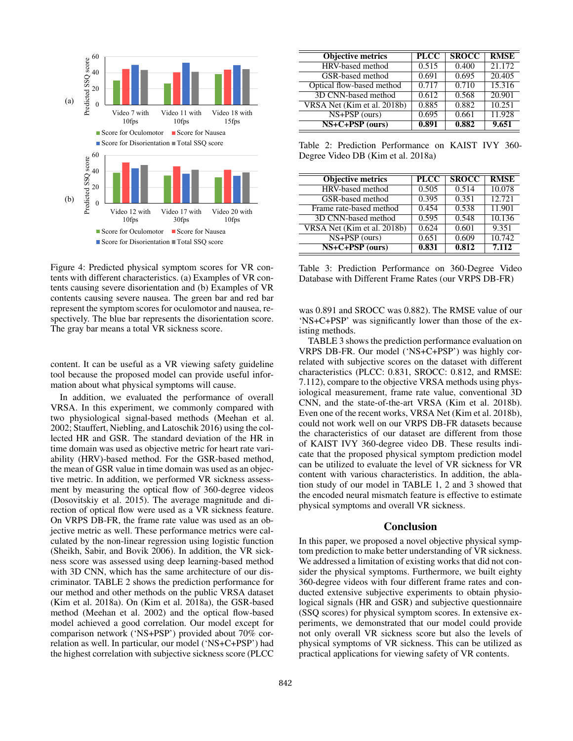

Figure 4: Predicted physical symptom scores for VR contents with different characteristics. (a) Examples of VR contents causing severe disorientation and (b) Examples of VR contents causing severe nausea. The green bar and red bar represent the symptom scores for oculomotor and nausea, respectively. The blue bar represents the disorientation score. The gray bar means a total VR sickness score.

content. It can be useful as a VR viewing safety guideline tool because the proposed model can provide useful information about what physical symptoms will cause.

In addition, we evaluated the performance of overall VRSA. In this experiment, we commonly compared with two physiological signal-based methods (Meehan et al. 2002; Stauffert, Niebling, and Latoschik 2016) using the collected HR and GSR. The standard deviation of the HR in time domain was used as objective metric for heart rate variability (HRV)-based method. For the GSR-based method, the mean of GSR value in time domain was used as an objective metric. In addition, we performed VR sickness assessment by measuring the optical flow of 360-degree videos (Dosovitskiy et al. 2015). The average magnitude and direction of optical flow were used as a VR sickness feature. On VRPS DB-FR, the frame rate value was used as an objective metric as well. These performance metrics were calculated by the non-linear regression using logistic function (Sheikh, Sabir, and Bovik 2006). In addition, the VR sickness score was assessed using deep learning-based method with 3D CNN, which has the same architecture of our discriminator. TABLE 2 shows the prediction performance for our method and other methods on the public VRSA dataset (Kim et al. 2018a). On (Kim et al. 2018a), the GSR-based method (Meehan et al. 2002) and the optical flow-based model achieved a good correlation. Our model except for comparison network ('NS+PSP') provided about 70% correlation as well. In particular, our model ('NS+C+PSP') had the highest correlation with subjective sickness score (PLCC

| <b>Objective metrics</b>    | <b>PLCC</b> | <b>SROCC</b> | <b>RMSE</b> |
|-----------------------------|-------------|--------------|-------------|
| HRV-based method            | 0.515       | 0.400        | 21.172      |
| GSR-based method            | 0.691       | 0.695        | 20.405      |
| Optical flow-based method   | 0.717       | 0.710        | 15.316      |
| 3D CNN-based method         | 0.612       | 0.568        | 20.901      |
| VRSA Net (Kim et al. 2018b) | 0.885       | 0.882        | 10.251      |
| $NS+PSP$ (ours)             | 0.695       | 0.661        | 11.928      |
| $NS+C+PSP$ (ours)           | 0.891       | 0.882        | 9.651       |

Table 2: Prediction Performance on KAIST IVY 360- Degree Video DB (Kim et al. 2018a)

| <b>Objective metrics</b>    | <b>PLCC</b> | <b>SROCC</b> | <b>RMSE</b> |
|-----------------------------|-------------|--------------|-------------|
| HRV-based method            | 0.505       | 0.514        | 10.078      |
| GSR-based method            | 0.395       | 0.351        | 12.721      |
| Frame rate-based method     | 0.454       | 0.538        | 11.901      |
| 3D CNN-based method         | 0.595       | 0.548        | 10.136      |
| VRSA Net (Kim et al. 2018b) | 0.624       | 0.601        | 9.351       |
| $NS+PSP$ (ours)             | 0.651       | 0.609        | 10.742      |
| $NS+C+PSP$ (ours)           | 0.831       | 0.812        | 7.112       |

Table 3: Prediction Performance on 360-Degree Video Database with Different Frame Rates (our VRPS DB-FR)

was 0.891 and SROCC was 0.882). The RMSE value of our 'NS+C+PSP' was significantly lower than those of the existing methods.

TABLE 3 shows the prediction performance evaluation on VRPS DB-FR. Our model ('NS+C+PSP') was highly correlated with subjective scores on the dataset with different characteristics (PLCC: 0.831, SROCC: 0.812, and RMSE: 7.112), compare to the objective VRSA methods using physiological measurement, frame rate value, conventional 3D CNN, and the state-of-the-art VRSA (Kim et al. 2018b). Even one of the recent works, VRSA Net (Kim et al. 2018b), could not work well on our VRPS DB-FR datasets because the characteristics of our dataset are different from those of KAIST IVY 360-degree video DB. These results indicate that the proposed physical symptom prediction model can be utilized to evaluate the level of VR sickness for VR content with various characteristics. In addition, the ablation study of our model in TABLE 1, 2 and 3 showed that the encoded neural mismatch feature is effective to estimate physical symptoms and overall VR sickness.

#### Conclusion

In this paper, we proposed a novel objective physical symptom prediction to make better understanding of VR sickness. We addressed a limitation of existing works that did not consider the physical symptoms. Furthermore, we built eighty 360-degree videos with four different frame rates and conducted extensive subjective experiments to obtain physiological signals (HR and GSR) and subjective questionnaire (SSQ scores) for physical symptom scores. In extensive experiments, we demonstrated that our model could provide not only overall VR sickness score but also the levels of physical symptoms of VR sickness. This can be utilized as practical applications for viewing safety of VR contents.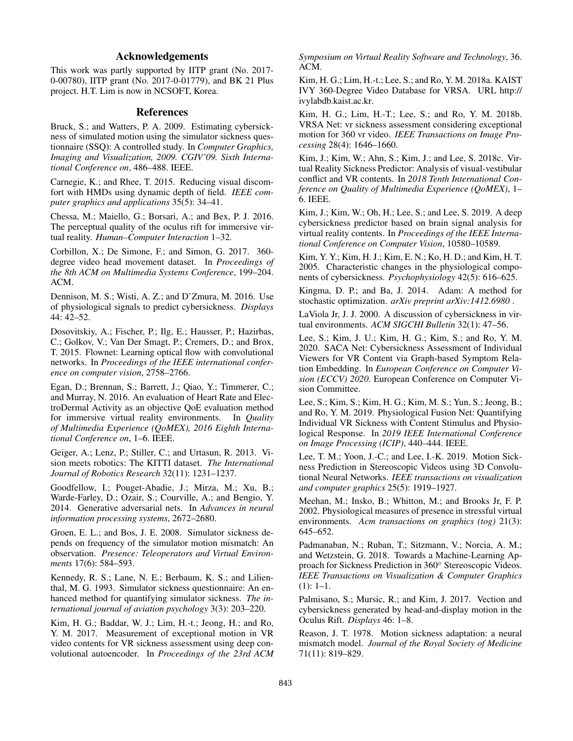## Acknowledgements

This work was partly supported by IITP grant (No. 2017- 0-00780), IITP grant (No. 2017-0-01779), and BK 21 Plus project. H.T. Lim is now in NCSOFT, Korea.

## References

Bruck, S.; and Watters, P. A. 2009. Estimating cybersickness of simulated motion using the simulator sickness questionnaire (SSQ): A controlled study. In *Computer Graphics, Imaging and Visualization, 2009. CGIV'09. Sixth International Conference on*, 486–488. IEEE.

Carnegie, K.; and Rhee, T. 2015. Reducing visual discomfort with HMDs using dynamic depth of field. *IEEE computer graphics and applications* 35(5): 34–41.

Chessa, M.; Maiello, G.; Borsari, A.; and Bex, P. J. 2016. The perceptual quality of the oculus rift for immersive virtual reality. *Human–Computer Interaction* 1–32.

Corbillon, X.; De Simone, F.; and Simon, G. 2017. 360 degree video head movement dataset. In *Proceedings of the 8th ACM on Multimedia Systems Conference*, 199–204. ACM.

Dennison, M. S.; Wisti, A. Z.; and D'Zmura, M. 2016. Use of physiological signals to predict cybersickness. *Displays* 44: 42–52.

Dosovitskiy, A.; Fischer, P.; Ilg, E.; Hausser, P.; Hazirbas, C.; Golkov, V.; Van Der Smagt, P.; Cremers, D.; and Brox, T. 2015. Flownet: Learning optical flow with convolutional networks. In *Proceedings of the IEEE international conference on computer vision*, 2758–2766.

Egan, D.; Brennan, S.; Barrett, J.; Qiao, Y.; Timmerer, C.; and Murray, N. 2016. An evaluation of Heart Rate and ElectroDermal Activity as an objective QoE evaluation method for immersive virtual reality environments. In *Quality of Multimedia Experience (QoMEX), 2016 Eighth International Conference on*, 1–6. IEEE.

Geiger, A.; Lenz, P.; Stiller, C.; and Urtasun, R. 2013. Vision meets robotics: The KITTI dataset. *The International Journal of Robotics Research* 32(11): 1231–1237.

Goodfellow, I.; Pouget-Abadie, J.; Mirza, M.; Xu, B.; Warde-Farley, D.; Ozair, S.; Courville, A.; and Bengio, Y. 2014. Generative adversarial nets. In *Advances in neural information processing systems*, 2672–2680.

Groen, E. L.; and Bos, J. E. 2008. Simulator sickness depends on frequency of the simulator motion mismatch: An observation. *Presence: Teleoperators and Virtual Environments* 17(6): 584–593.

Kennedy, R. S.; Lane, N. E.; Berbaum, K. S.; and Lilienthal, M. G. 1993. Simulator sickness questionnaire: An enhanced method for quantifying simulator sickness. *The international journal of aviation psychology* 3(3): 203–220.

Kim, H. G.; Baddar, W. J.; Lim, H.-t.; Jeong, H.; and Ro, Y. M. 2017. Measurement of exceptional motion in VR video contents for VR sickness assessment using deep convolutional autoencoder. In *Proceedings of the 23rd ACM* *Symposium on Virtual Reality Software and Technology*, 36. ACM.

Kim, H. G.; Lim, H.-t.; Lee, S.; and Ro, Y. M. 2018a. KAIST IVY 360-Degree Video Database for VRSA. URL http:// ivylabdb.kaist.ac.kr.

Kim, H. G.; Lim, H.-T.; Lee, S.; and Ro, Y. M. 2018b. VRSA Net: vr sickness assessment considering exceptional motion for 360 vr video. *IEEE Transactions on Image Processing* 28(4): 1646–1660.

Kim, J.; Kim, W.; Ahn, S.; Kim, J.; and Lee, S. 2018c. Virtual Reality Sickness Predictor: Analysis of visual-vestibular conflict and VR contents. In *2018 Tenth International Conference on Quality of Multimedia Experience (QoMEX)*, 1– 6. IEEE.

Kim, J.; Kim, W.; Oh, H.; Lee, S.; and Lee, S. 2019. A deep cybersickness predictor based on brain signal analysis for virtual reality contents. In *Proceedings of the IEEE International Conference on Computer Vision*, 10580–10589.

Kim, Y. Y.; Kim, H. J.; Kim, E. N.; Ko, H. D.; and Kim, H. T. 2005. Characteristic changes in the physiological components of cybersickness. *Psychophysiology* 42(5): 616–625.

Kingma, D. P.; and Ba, J. 2014. Adam: A method for stochastic optimization. *arXiv preprint arXiv:1412.6980* .

LaViola Jr, J. J. 2000. A discussion of cybersickness in virtual environments. *ACM SIGCHI Bulletin* 32(1): 47–56.

Lee, S.; Kim, J. U.; Kim, H. G.; Kim, S.; and Ro, Y. M. 2020. SACA Net: Cybersickness Assessment of Individual Viewers for VR Content via Graph-based Symptom Relation Embedding. In *European Conference on Computer Vision (ECCV) 2020*. European Conference on Computer Vision Committee.

Lee, S.; Kim, S.; Kim, H. G.; Kim, M. S.; Yun, S.; Jeong, B.; and Ro, Y. M. 2019. Physiological Fusion Net: Quantifying Individual VR Sickness with Content Stimulus and Physiological Response. In *2019 IEEE International Conference on Image Processing (ICIP)*, 440–444. IEEE.

Lee, T. M.; Yoon, J.-C.; and Lee, I.-K. 2019. Motion Sickness Prediction in Stereoscopic Videos using 3D Convolutional Neural Networks. *IEEE transactions on visualization and computer graphics* 25(5): 1919–1927.

Meehan, M.; Insko, B.; Whitton, M.; and Brooks Jr, F. P. 2002. Physiological measures of presence in stressful virtual environments. *Acm transactions on graphics (tog)* 21(3): 645–652.

Padmanaban, N.; Ruban, T.; Sitzmann, V.; Norcia, A. M.; and Wetzstein, G. 2018. Towards a Machine-Learning Approach for Sickness Prediction in 360◦ Stereoscopic Videos. *IEEE Transactions on Visualization & Computer Graphics* (1): 1–1.

Palmisano, S.; Mursic, R.; and Kim, J. 2017. Vection and cybersickness generated by head-and-display motion in the Oculus Rift. *Displays* 46: 1–8.

Reason, J. T. 1978. Motion sickness adaptation: a neural mismatch model. *Journal of the Royal Society of Medicine* 71(11): 819–829.